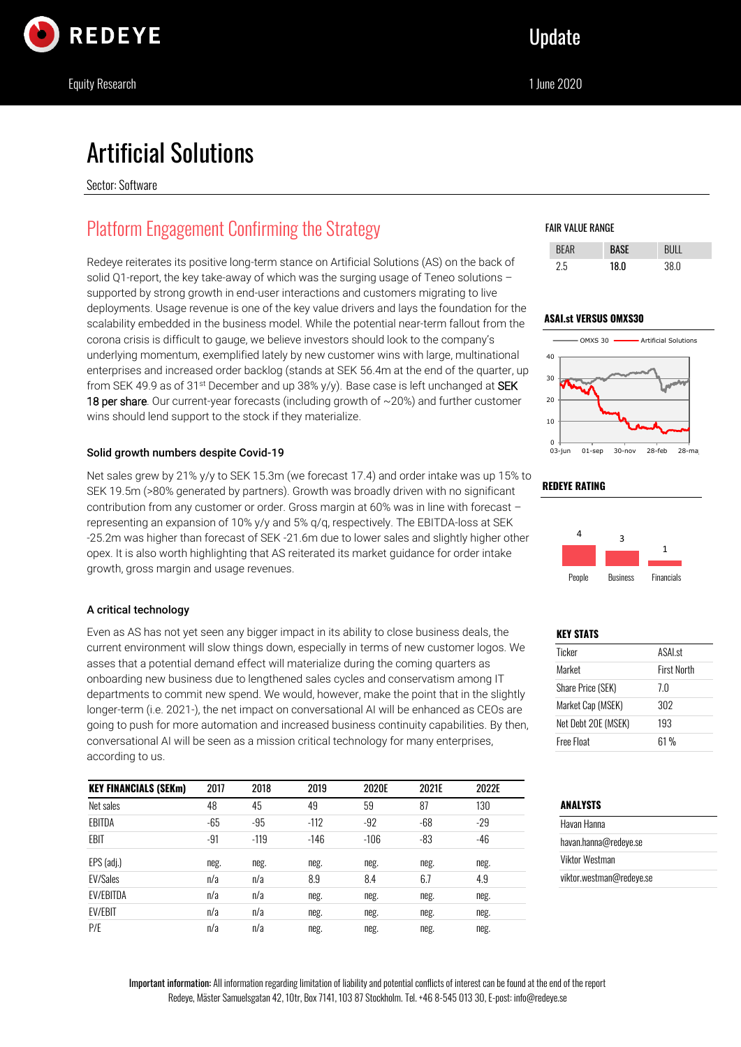

# Artificial Solutions

Sector: Software

# Platform Engagement Confirming the Strategy

Redeye reiterates its positive long-term stance on Artificial Solutions (AS) on the back of solid Q1-report, the key take-away of which was the surging usage of Teneo solutions supported by strong growth in end-user interactions and customers migrating to live deployments. Usage revenue is one of the key value drivers and lays the foundation for the scalability embedded in the business model. While the potential near-term fallout from the corona crisis is difficult to gauge, we believe investors should look to the company's underlying momentum, exemplified lately by new customer wins with large, multinational enterprises and increased order backlog (stands at SEK 56.4m at the end of the quarter, up from SEK 49.9 as of 31<sup>st</sup> December and up 38% y/y). Base case is left unchanged at SEK **18 per share**. Our current-year forecasts (including growth of  $\sim$  20%) and further customer wins should lend support to the stock if they materialize.

# Solid growth numbers despite Covid-19

Net sales grew by 21% y/y to SEK 15.3m (we forecast 17.4) and order intake was up 15% to SEK 19.5m (>80% generated by partners). Growth was broadly driven with no significant contribution from any customer or order. Gross margin at 60% was in line with forecast – representing an expansion of 10% y/y and 5% q/q, respectively. The EBITDA-loss at SEK -25.2m was higher than forecast of SEK -21.6m due to lower sales and slightly higher other opex. It is also worth highlighting that AS reiterated its market guidance for order intake growth, gross margin and usage revenues.

# A critical technology

Even as AS has not yet seen any bigger impact in its ability to close business deals, the current environment will slow things down, especially in terms of new customer logos. We asses that a potential demand effect will materialize during the coming quarters as onboarding new business due to lengthened sales cycles and conservatism among IT departments to commit new spend. We would, however, make the point that in the slightly longer-term (i.e. 2021-), the net impact on conversational AI will be enhanced as CEOs are going to push for more automation and increased business continuity capabilities. By then, conversational AI will be seen as a mission critical technology for many enterprises, according to us.

| <b>KEY FINANCIALS (SEKm)</b> | 2017  | 2018   | 2019   | 2020E  | 2021E | 2022E |
|------------------------------|-------|--------|--------|--------|-------|-------|
| Net sales                    | 48    | 45     | 49     | 59     | 87    | 130   |
| EBITDA                       | $-65$ | -95    | $-112$ | $-92$  | $-68$ | $-29$ |
| EBIT                         | $-91$ | $-119$ | $-146$ | $-106$ | $-83$ | $-46$ |
| EPS (adj.)                   | neg.  | neg.   | neg.   | neg.   | neg.  | neg.  |
| <b>EV/Sales</b>              | n/a   | n/a    | 8.9    | 8.4    | 6.7   | 4.9   |
| <b>EV/EBITDA</b>             | n/a   | n/a    | neg.   | neg.   | neg.  | neg.  |
| <b>EV/EBIT</b>               | n/a   | n/a    | neg.   | neg.   | neg.  | neg.  |
| P/E                          | n/a   | n/a    | neg.   | neg.   | neg.  | neg.  |

# FAIR VALUE RANGE

| ツト | 18 N | n |
|----|------|---|

# **ASAI.st VERSUS OMXS30**



# **REDEYE RATING**



## **KEY STATS**

| Ticker                   | <b>ASALst</b>      |
|--------------------------|--------------------|
| Market                   | <b>First North</b> |
| <b>Share Price (SEK)</b> | 7.0                |
| Market Cap (MSEK)        | 302                |
| Net Debt 20E (MSEK)      | 193                |
| Free Float               | 61%                |

# **ANALYSTS**

| Havan Hanna              |  |
|--------------------------|--|
| havan.hanna@redeve.se    |  |
| Viktor Westman           |  |
| viktor.westman@redeye.se |  |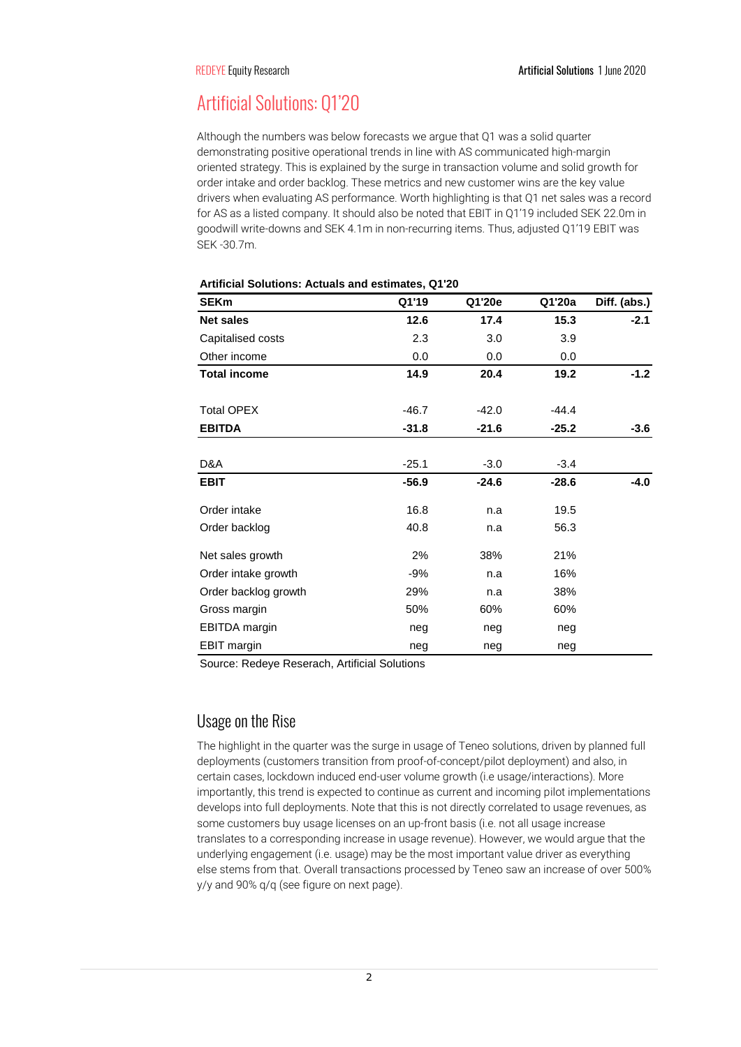# Artificial Solutions: Q1'20

Although the numbers was below forecasts we argue that Q1 was a solid quarter demonstrating positive operational trends in line with AS communicated high-margin oriented strategy. This is explained by the surge in transaction volume and solid growth for order intake and order backlog. These metrics and new customer wins are the key value drivers when evaluating AS performance. Worth highlighting is that Q1 net sales was a record for AS as a listed company. It should also be noted that EBIT in Q1'19 included SEK 22.0m in goodwill write-downs and SEK 4.1m in non-recurring items. Thus, adjusted Q1'19 EBIT was SEK -30.7m.

| <b>SEKm</b>          | Q1'19   | Q1'20e  | Q1'20a  | Diff. (abs.) |
|----------------------|---------|---------|---------|--------------|
| <b>Net sales</b>     | 12.6    | 17.4    | 15.3    | $-2.1$       |
| Capitalised costs    | 2.3     | 3.0     | 3.9     |              |
| Other income         | 0.0     | 0.0     | 0.0     |              |
| <b>Total income</b>  | 14.9    | 20.4    | 19.2    | $-1.2$       |
| <b>Total OPEX</b>    | $-46.7$ | $-42.0$ | $-44.4$ |              |
| <b>EBITDA</b>        | $-31.8$ | $-21.6$ | $-25.2$ | $-3.6$       |
|                      |         |         |         |              |
| D&A                  | $-25.1$ | $-3.0$  | $-3.4$  |              |
| <b>EBIT</b>          | $-56.9$ | $-24.6$ | $-28.6$ | $-4.0$       |
| Order intake         | 16.8    | n.a     | 19.5    |              |
| Order backlog        | 40.8    | n.a     | 56.3    |              |
| Net sales growth     | 2%      | 38%     | 21%     |              |
| Order intake growth  | -9%     | n.a     | 16%     |              |
| Order backlog growth | 29%     | n.a     | 38%     |              |
| Gross margin         | 50%     | 60%     | 60%     |              |
| <b>EBITDA</b> margin | neg     | neg     | neg     |              |
| <b>EBIT</b> margin   | neg     | neg     | neg     |              |

**Artificial Solutions: Actuals and estimates, Q1'20**

Source: Redeye Reserach, Artificial Solutions

# Usage on the Rise

The highlight in the quarter was the surge in usage of Teneo solutions, driven by planned full deployments (customers transition from proof-of-concept/pilot deployment) and also, in certain cases, lockdown induced end-user volume growth (i.e usage/interactions). More importantly, this trend is expected to continue as current and incoming pilot implementations develops into full deployments. Note that this is not directly correlated to usage revenues, as some customers buy usage licenses on an up-front basis (i.e. not all usage increase translates to a corresponding increase in usage revenue). However, we would argue that the underlying engagement (i.e. usage) may be the most important value driver as everything else stems from that. Overall transactions processed by Teneo saw an increase of over 500% y/y and 90% q/q (see figure on next page).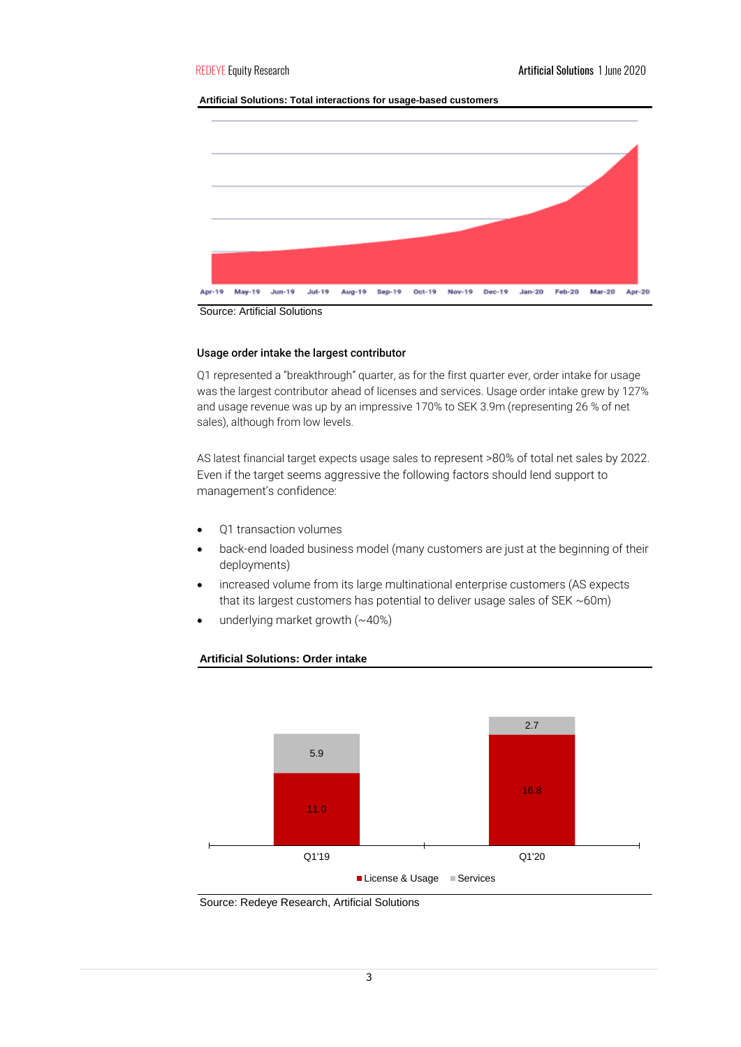## **Artificial Solutions: Total interactions for usage-based customers**



Source: Artificial Solutions

## Usage order intake the largest contributor

Q1 represented a "breakthrough" quarter, as for the first quarter ever, order intake for usage was the largest contributor ahead of licenses and services. Usage order intake grew by 127% and usage revenue was up by an impressive 170% to SEK 3.9m (representing 26 % of net sales), although from low levels.

AS latest financial target expects usage sales to represent >80% of total net sales by 2022. Even if the target seems aggressive the following factors should lend support to management's confidence:

- Q1 transaction volumes
- back-end loaded business model (many customers are just at the beginning of their deployments)
- increased volume from its large multinational enterprise customers (AS expects that its largest customers has potential to deliver usage sales of SEK ~60m)
- underlying market growth (~40%)



## **Artificial Solutions: Order intake**

Source: Redeye Research, Artificial Solutions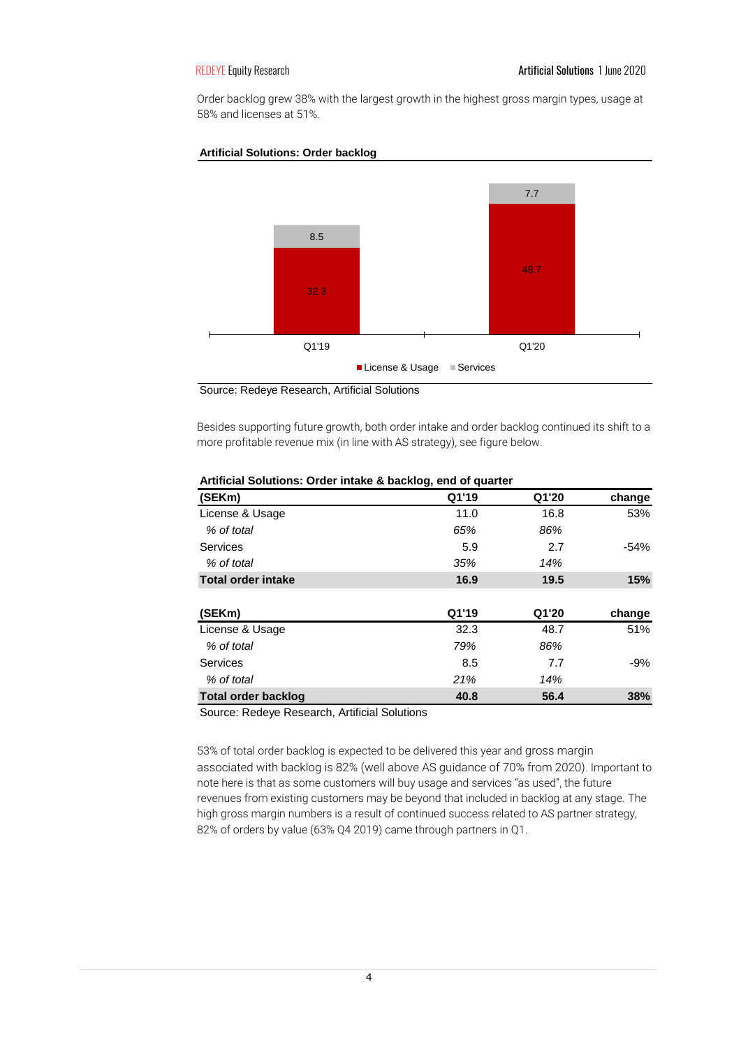Order backlog grew 38% with the largest growth in the highest gross margin types, usage at 58% and licenses at 51%.



## **Artificial Solutions: Order backlog**

Source: Redeye Research, Artificial Solutions

Besides supporting future growth, both order intake and order backlog continued its shift to a more profitable revenue mix (in line with AS strategy), see figure below.

| (SEKm)                     | Q1'19 | Q1'20 | change |
|----------------------------|-------|-------|--------|
| License & Usage            | 11.0  | 16.8  | 53%    |
| % of total                 | 65%   | 86%   |        |
| Services                   | 5.9   | 2.7   | $-54%$ |
| % of total                 | 35%   | 14%   |        |
| <b>Total order intake</b>  | 16.9  | 19.5  | 15%    |
|                            |       |       |        |
| (SEKm)                     | Q1'19 | Q1'20 | change |
| License & Usage            | 32.3  | 48.7  | 51%    |
| % of total                 | 79%   | 86%   |        |
| <b>Services</b>            | 8.5   | 7.7   | $-9%$  |
| % of total                 | 21%   | 14%   |        |
| <b>Total order backlog</b> | 40.8  | 56.4  | 38%    |

## **Artificial Solutions: Order intake & backlog, end of quarter**

Source: Redeye Research, Artificial Solutions

53% of total order backlog is expected to be delivered this year and gross margin associated with backlog is 82% (well above AS guidance of 70% from 2020). Important to note here is that as some customers will buy usage and services "as used", the future revenues from existing customers may be beyond that included in backlog at any stage. The high gross margin numbers is a result of continued success related to AS partner strategy, 82% of orders by value (63% Q4 2019) came through partners in Q1.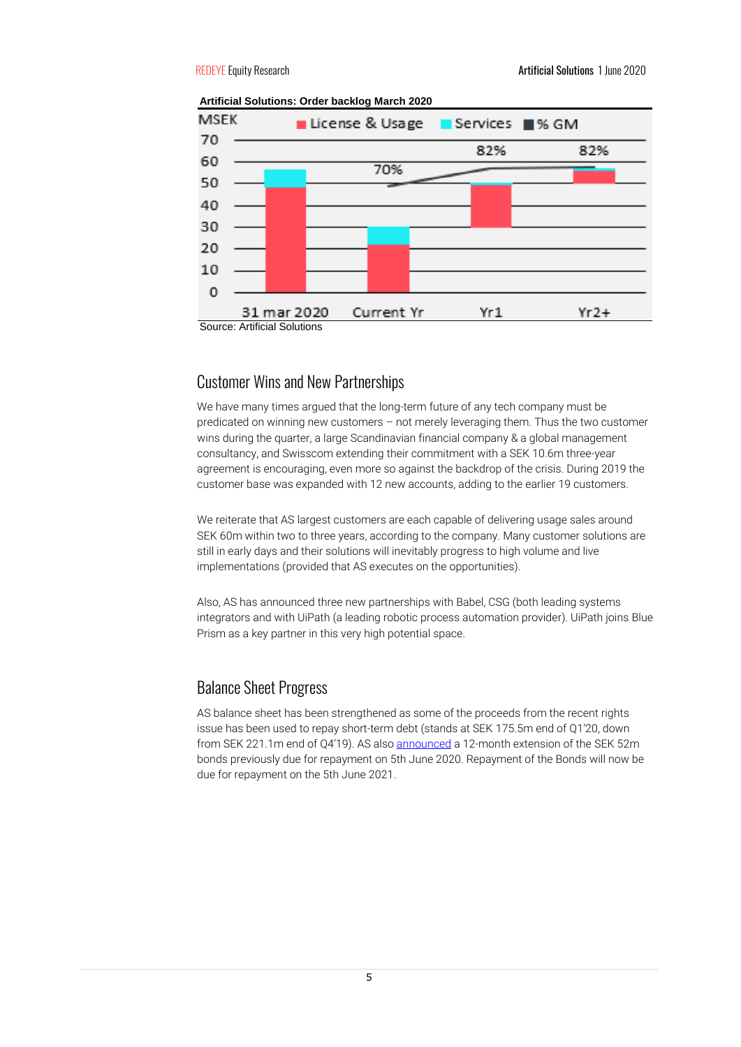

**Artificial Solutions: Order backlog March 2020**



We have many times argued that the long-term future of any tech company must be predicated on winning new customers – not merely leveraging them. Thus the two customer wins during the quarter, a large Scandinavian financial company & a global management consultancy, and Swisscom extending their commitment with a SEK 10.6m three-year agreement is encouraging, even more so against the backdrop of the crisis. During 2019 the customer base was expanded with 12 new accounts, adding to the earlier 19 customers.

We reiterate that AS largest customers are each capable of delivering usage sales around SEK 60m within two to three years, according to the company. Many customer solutions are still in early days and their solutions will inevitably progress to high volume and live implementations (provided that AS executes on the opportunities).

Also, AS has announced three new partnerships with Babel, CSG (both leading systems integrators and with UiPath (a leading robotic process automation provider). UiPath joins Blue Prism as a key partner in this very high potential space.

# Balance Sheet Progress

AS balance sheet has been strengthened as some of the proceeds from the recent rights issue has been used to repay short-term debt (stands at SEK 175.5m end of Q1'20, down from SEK 221.1m end of Q4'19). AS also [announced](https://www.avanza.se/placera/pressmeddelanden/2020/05/26/artificial-solutions-international-ab-artificial-solutions-agrees-12-month-extension-and-new-terms-on-bonds.html) a 12-month extension of the SEK 52m bonds previously due for repayment on 5th June 2020. Repayment of the Bonds will now be due for repayment on the 5th June 2021.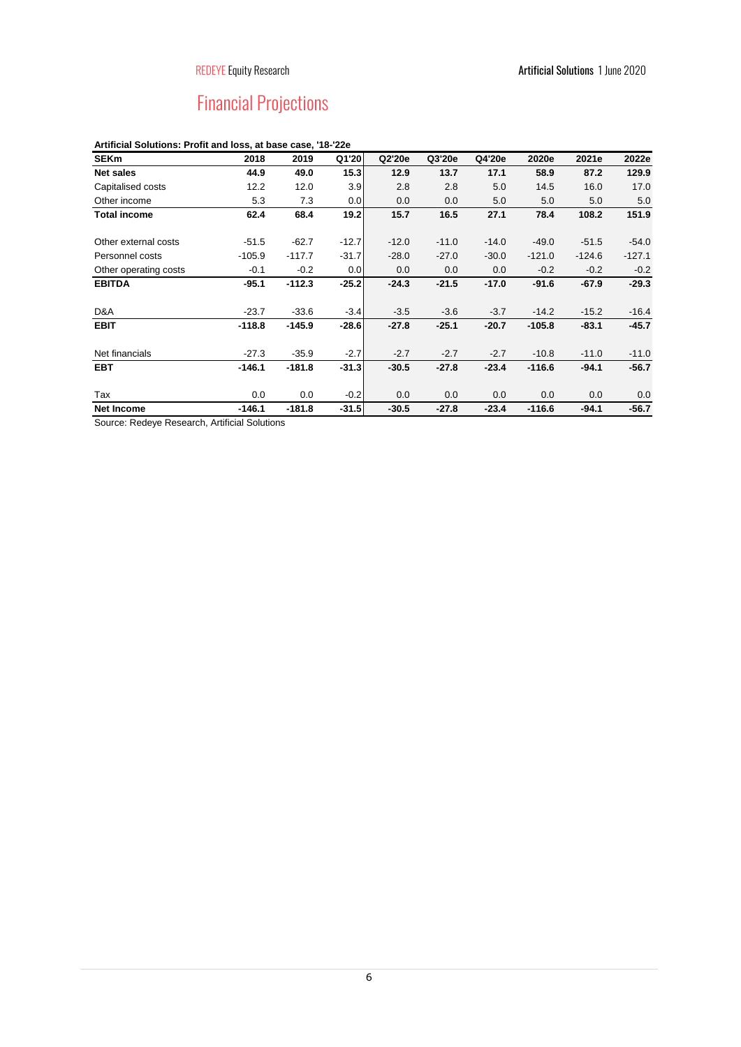# Financial Projections

# **Artificial Solutions: Profit and loss, at base case, '18-'22e**

| <b>SEKm</b>           | 2018     | 2019     | Q1'20   | Q2'20e  | Q3'20e  | Q4'20e  | 2020e    | 2021e    | 2022e    |
|-----------------------|----------|----------|---------|---------|---------|---------|----------|----------|----------|
| <b>Net sales</b>      | 44.9     | 49.0     | 15.3    | 12.9    | 13.7    | 17.1    | 58.9     | 87.2     | 129.9    |
| Capitalised costs     | 12.2     | 12.0     | 3.9     | 2.8     | 2.8     | 5.0     | 14.5     | 16.0     | 17.0     |
| Other income          | 5.3      | 7.3      | 0.0     | 0.0     | 0.0     | 5.0     | 5.0      | 5.0      | 5.0      |
| <b>Total income</b>   | 62.4     | 68.4     | 19.2    | 15.7    | 16.5    | 27.1    | 78.4     | 108.2    | 151.9    |
| Other external costs  | $-51.5$  | $-62.7$  | $-12.7$ | $-12.0$ | $-11.0$ | $-14.0$ | $-49.0$  | $-51.5$  | $-54.0$  |
| Personnel costs       | $-105.9$ | $-117.7$ | $-31.7$ | $-28.0$ | $-27.0$ | $-30.0$ | $-121.0$ | $-124.6$ | $-127.1$ |
| Other operating costs | $-0.1$   | $-0.2$   | 0.0     | 0.0     | 0.0     | 0.0     | $-0.2$   | $-0.2$   | $-0.2$   |
| <b>EBITDA</b>         | $-95.1$  | $-112.3$ | $-25.2$ | $-24.3$ | $-21.5$ | $-17.0$ | $-91.6$  | $-67.9$  | $-29.3$  |
| D&A                   | $-23.7$  | $-33.6$  | $-3.4$  | $-3.5$  | $-3.6$  | $-3.7$  | $-14.2$  | $-15.2$  | $-16.4$  |
| <b>EBIT</b>           | $-118.8$ | $-145.9$ | $-28.6$ | $-27.8$ | $-25.1$ | $-20.7$ | $-105.8$ | $-83.1$  | $-45.7$  |
| Net financials        | $-27.3$  | $-35.9$  | $-2.7$  | $-2.7$  | $-2.7$  | $-2.7$  | $-10.8$  | $-11.0$  | $-11.0$  |
| <b>EBT</b>            | $-146.1$ | $-181.8$ | $-31.3$ | $-30.5$ | $-27.8$ | $-23.4$ | $-116.6$ | $-94.1$  | $-56.7$  |
| Tax                   | 0.0      | 0.0      | $-0.2$  | 0.0     | 0.0     | 0.0     | 0.0      | 0.0      | 0.0      |
| <b>Net Income</b>     | $-146.1$ | $-181.8$ | $-31.5$ | $-30.5$ | $-27.8$ | $-23.4$ | $-116.6$ | $-94.1$  | $-56.7$  |

Source: Redeye Research, Artificial Solutions

6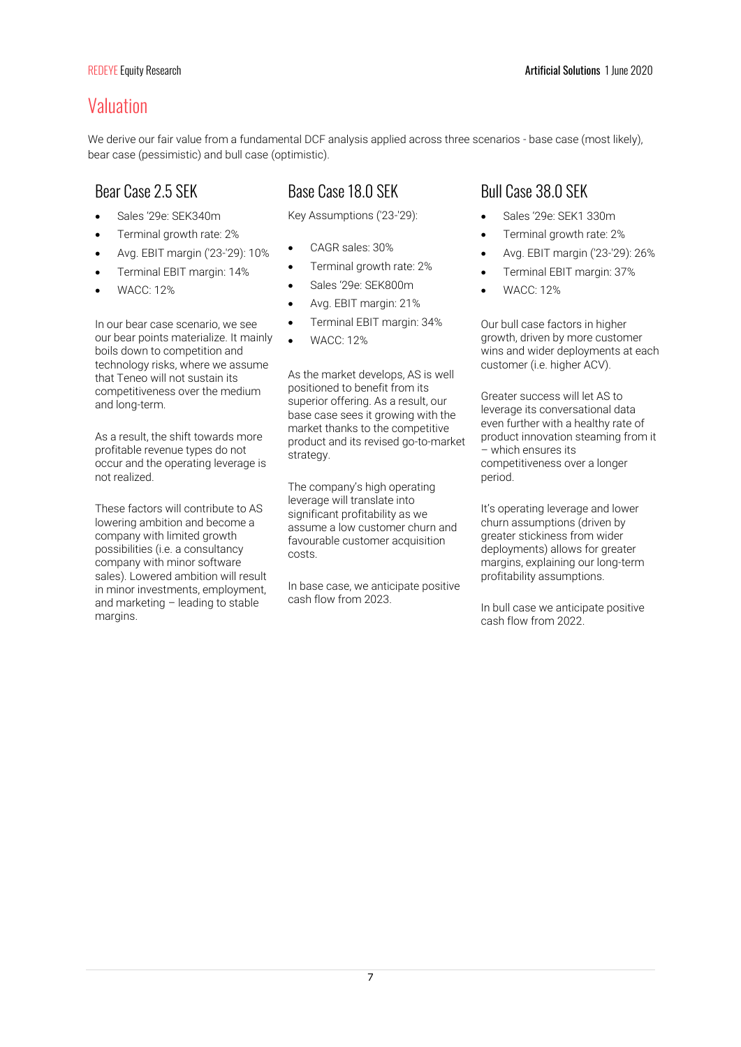# Valuation

We derive our fair value from a fundamental DCF analysis applied across three scenarios - base case (most likely), bear case (pessimistic) and bull case (optimistic).

- Sales '29e: SEK340m
- Terminal growth rate: 2%
- Avg. EBIT margin ('23-'29): 10%
- Terminal EBIT margin: 14%
- WACC: 12%

In our bear case scenario, we see our bear points materialize. It mainly boils down to competition and technology risks, where we assume that Teneo will not sustain its competitiveness over the medium and long-term.

As a result, the shift towards more profitable revenue types do not occur and the operating leverage is not realized.

These factors will contribute to AS lowering ambition and become a company with limited growth possibilities (i.e. a consultancy company with minor software sales). Lowered ambition will result in minor investments, employment, and marketing – leading to stable margins.

# Bear Case 2.5 SEK Base Case 18.0 SEK Bull Case 38.0 SEK

Key Assumptions ('23-'29):

- CAGR sales: 30%
- Terminal growth rate: 2%
- Sales '29e: SEK800m
- Avg. EBIT margin: 21%
- Terminal EBIT margin: 34%
- WACC: 12%

As the market develops, AS is well positioned to benefit from its superior offering. As a result, our base case sees it growing with the market thanks to the competitive product and its revised go-to-market strategy.

The company's high operating leverage will translate into significant profitability as we assume a low customer churn and favourable customer acquisition costs.

In base case, we anticipate positive cash flow from 2023.

- Sales '29e: SEK1 330m
- Terminal growth rate: 2%
- Avg. EBIT margin ('23-'29): 26%
- Terminal EBIT margin: 37%
- WACC: 12%

Our bull case factors in higher growth, driven by more customer wins and wider deployments at each customer (i.e. higher ACV).

Greater success will let AS to leverage its conversational data even further with a healthy rate of product innovation steaming from it – which ensures its competitiveness over a longer period.

It's operating leverage and lower churn assumptions (driven by greater stickiness from wider deployments) allows for greater margins, explaining our long-term profitability assumptions.

In bull case we anticipate positive cash flow from 2022.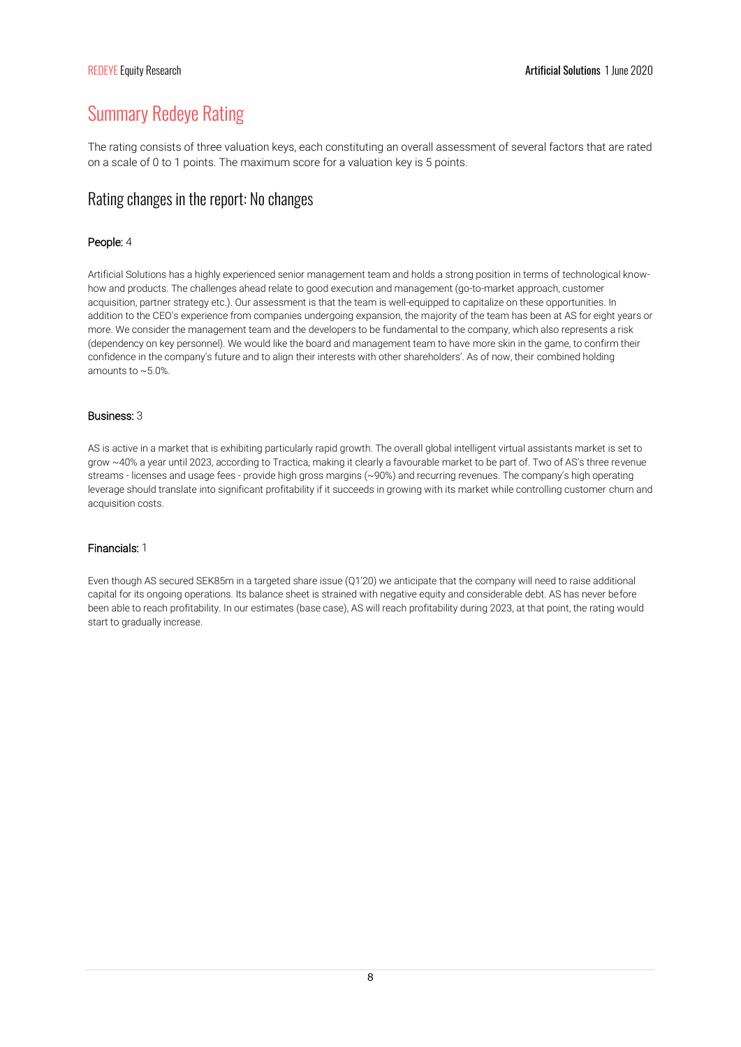# Summary Redeye Rating

The rating consists of three valuation keys, each constituting an overall assessment of several factors that are rated on a scale of 0 to 1 points. The maximum score for a valuation key is 5 points.

# Rating changes in the report: No changes

# People: 4

Artificial Solutions has a highly experienced senior management team and holds a strong position in terms of technological knowhow and products. The challenges ahead relate to good execution and management (go-to-market approach, customer acquisition, partner strategy etc.). Our assessment is that the team is well-equipped to capitalize on these opportunities. In addition to the CEO's experience from companies undergoing expansion, the majority of the team has been at AS for eight years or more. We consider the management team and the developers to be fundamental to the company, which also represents a risk (dependency on key personnel). We would like the board and management team to have more skin in the game, to confirm their confidence in the company's future and to align their interests with other shareholders'. As of now, their combined holding amounts to ~5.0%.

## Business: 3

AS is active in a market that is exhibiting particularly rapid growth. The overall global intelligent virtual assistants market is set to grow ~40% a year until 2023, according to Tractica, making it clearly a favourable market to be part of. Two of AS's three revenue streams - licenses and usage fees - provide high gross margins (~90%) and recurring revenues. The company's high operating leverage should translate into significant profitability if it succeeds in growing with its market while controlling customer churn and acquisition costs.

## Financials: 1

Even though AS secured SEK85m in a targeted share issue (Q1'20) we anticipate that the company will need to raise additional capital for its ongoing operations. Its balance sheet is strained with negative equity and considerable debt. AS has never before been able to reach profitability. In our estimates (base case), AS will reach profitability during 2023, at that point, the rating would start to gradually increase.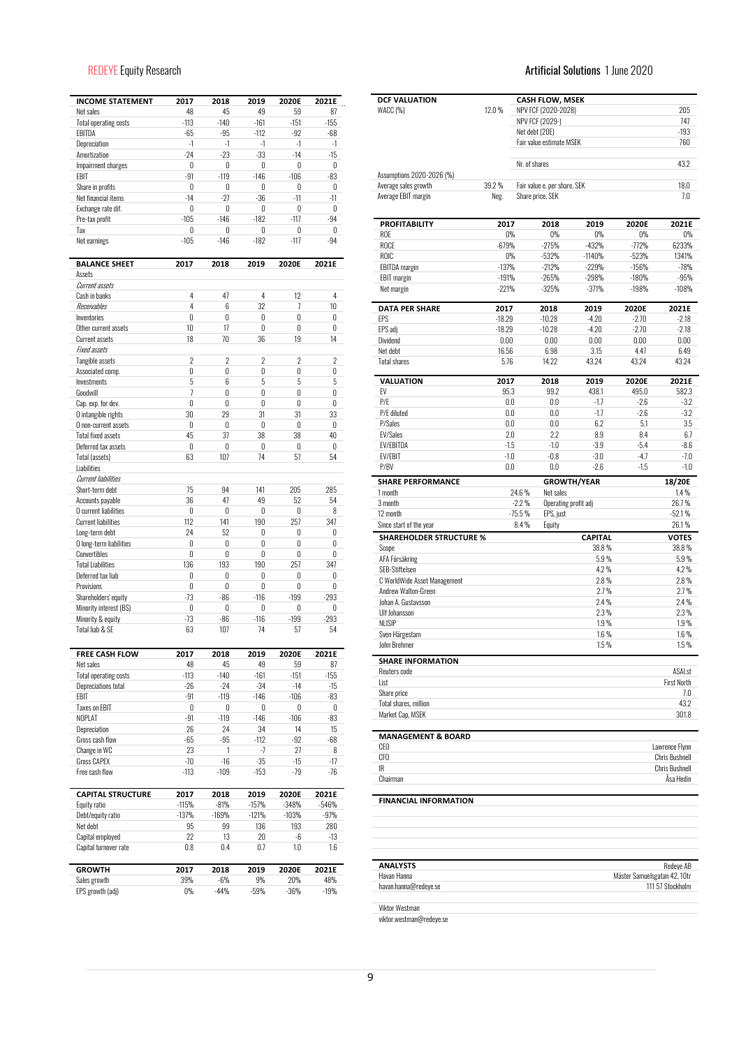| <b>INCOME STATEMENT</b>       | 2017           | 2018           | 2019           | 2020E          | 2021E          |
|-------------------------------|----------------|----------------|----------------|----------------|----------------|
| Net sales                     | 48             | 45             | 49             | 59             | 87             |
| <b>Total operating costs</b>  | $-113$         | $-140$         | $-161$         | $-151$         | $-155$         |
| EBITDA                        | $-65$          | $-95$          | $-112$         | $-92$          | $-68$          |
| Depreciation                  | -1             | $-1$           | $-1$           | $-1$           | $-1$           |
| Amortization                  | $-24$          | $-23$          | $-33$          | $-14$          | $-15$          |
| Impairment charges            | 0              | 0              | 0              | 0              | 0              |
| EBIT                          | -91            | $-119$         | $-146$         | $-106$         | $-83$          |
| Share in profits              | 0              | 0              | 0              | 0              | 0              |
| Net financial items           | $-14$          | $-27$          | $-36$          | $-11$          | $-11$          |
| Exchange rate dif.            | 0              | 0              | 0              | 0              | 0              |
| Pre-tax profit                | $-105$         | $-146$         | $-182$         | $-117$         | $-94$          |
| Tax                           | 0              | 0              | 0              | 0              | 0              |
| Net earnings                  | $-105$         | $-146$         | $-182$         | $-117$         | $-94$          |
| <b>BALANCE SHEET</b>          | 2017           | 2018           | 2019           | 2020E          | 2021E          |
| Assets                        |                |                |                |                |                |
| Current assets                |                |                |                |                |                |
| Cash in banks                 | 4              | 47             | 4              | 12             | 4              |
| Receivables                   | 4              | 6              | 32             | 7              | 10             |
| Inventories                   | 0              | 0              | 0              | 0              | 0              |
| Other current assets          | 10             | 17             | 0              | 0              | 0              |
| Current assets                | 18             | 70             | 36             | 19             | 14             |
| <b>Fixed assets</b>           |                |                |                |                |                |
| Tangible assets               | $\overline{2}$ | $\overline{2}$ | $\overline{2}$ | $\overline{2}$ | $\overline{2}$ |
| Associated comp.              | 0              | 0              | 0              | 0              | 0              |
| Investments                   | 5              | 6              | 5              | 5              | 5              |
| Goodwill                      | $\overline{1}$ | 0              | $\mathbf{0}$   | $\theta$       | 0              |
| Cap. exp. for dev.            | 0              | 0              | 0              | 0              | 0              |
|                               |                |                |                |                |                |
| O intangible rights           | 30             | 29             | 31             | 31             | 33             |
| O non-current assets          | 0              | 0              | 0              | 0              | 0              |
| <b>Total fixed assets</b>     | 45             | 37             | 38             | 38             | 40             |
| Deferred tax assets           | 0              | 0              | 0              | 0              | 0              |
| Total (assets)                | 63             | 107            | 74             | 57             | 54             |
| Liabilities                   |                |                |                |                |                |
| <b>Current liabilities</b>    |                |                |                |                |                |
| Short-term debt               | 75             | 94             | 141            | 205            | 285            |
| Accounts payable              | 36             | 47             | 49             | 52             | 54             |
| O current liabilities         | 0              | 0              | 0              | 0              | 8              |
| <b>Current liabilities</b>    | 112            | 141            | 190            | 257            | 347            |
| Long-term debt                | 24             | 52             | 0              | 0              | 0              |
| O long-term liabilities       | 0              | 0              | 0              | 0              | 0              |
| Convertibles                  | 0              | 0              | 0              | 0              | 0              |
| <b>Total Liabilities</b>      | 136            | 193            | 190            | 257            | 347            |
| Deferred tax liab             | 0              | 0              | 0              | 0              | 0              |
| Provisions                    | 0              | 0              | 0              | 0              | 0              |
|                               | $-73$          | $-86$          | $-116$         | $-199$         | $-293$         |
| Shareholders' equity          |                |                |                |                |                |
| Minority interest (BS)        | 0              | 0              | 0              | 0              | 0              |
| Minority & equity             | $-73$          | $-86$          | $-116$         | $-199$         | $-293$         |
| Total liab & SE               | 63             | 107            | 74             | 57             | 54             |
| FREE CASH FLOW                | 2017           | 2018           | 2019           | 2020E          | 2021E          |
| Net sales                     | 48             | 45             | 49             | 59             | 87             |
| <b>Total operating costs</b>  | $-113$         | $-140$         | $-161$         | $-151$         | $-155$         |
| <b>Depreciations total</b>    | $-26$          | $-24$          | $-34$          | $-14$          | $-15$          |
| EBIT                          | -91            | $-119$         | -146           | $-106$         | -83            |
| <b>Taxes on EBIT</b>          | 0              | 0              | 0              | 0              | 0              |
| NOPLAT                        | -91            | $-119$         | $-146$         | $-106$         | $-83$          |
| Depreciation                  | 26             | 24             | 34             | 14             | 15             |
| Gross cash flow               | -65            | -95            | $-112$         | $-92$          | $-68$          |
| Change in WC                  | 23             | 1              | -7             | 27             | 8              |
| <b>Gross CAPEX</b>            | $-70$          | $-16$          | $-35$          | $-15$          | $-17$          |
| Free cash flow                | $-113$         | $-109$         | $-153$         | -79            | -76            |
|                               |                |                |                |                |                |
| <b>CAPITAL STRUCTURE</b>      | 2017           | 2018           | 2019           | 2020E          | 2021E          |
| Equity ratio                  | $-115%$        | $-81%$         | $-157%$        | $-348%$        | $-546%$        |
| Debt/equity ratio             | $-137%$        | $-169%$        | $-121%$        | $-103%$        | -97%           |
| Net debt                      | 95             | 99             | 136            | 193            | 280            |
| Capital employed              | 22             | 13             | 20             | -6             | -13            |
| Capital turnover rate         | $0.8\,$        | $0.4\,$        | 0.7            | $1.0\,$        | 1.6            |
|                               |                |                |                |                |                |
| <b>GROWTH</b><br>Sales growth | 2017<br>39%    | 2018<br>$-6%$  | 2019<br>9%     | 2020E<br>20%   | 2021E<br>48%   |
| EPS growth (adj)              | 0%             | $-44%$         | -59%           | $-36%$         | $-19%$         |

# REDEYE Equity Research **Artificial Solutions 1** June 2020

| 12.0%    |                                                                     |                                                                                                                                                                                                                                                                                                                          |                                                                                                                                                                                                                                                                                                                  | 205                                                                                                                                                                                                               |
|----------|---------------------------------------------------------------------|--------------------------------------------------------------------------------------------------------------------------------------------------------------------------------------------------------------------------------------------------------------------------------------------------------------------------|------------------------------------------------------------------------------------------------------------------------------------------------------------------------------------------------------------------------------------------------------------------------------------------------------------------|-------------------------------------------------------------------------------------------------------------------------------------------------------------------------------------------------------------------|
|          |                                                                     |                                                                                                                                                                                                                                                                                                                          |                                                                                                                                                                                                                                                                                                                  | 747                                                                                                                                                                                                               |
|          | Net debt (20E)                                                      |                                                                                                                                                                                                                                                                                                                          |                                                                                                                                                                                                                                                                                                                  | $-193$                                                                                                                                                                                                            |
|          |                                                                     |                                                                                                                                                                                                                                                                                                                          |                                                                                                                                                                                                                                                                                                                  | 760                                                                                                                                                                                                               |
|          | Nr. of shares                                                       |                                                                                                                                                                                                                                                                                                                          |                                                                                                                                                                                                                                                                                                                  | 43.2                                                                                                                                                                                                              |
|          |                                                                     |                                                                                                                                                                                                                                                                                                                          |                                                                                                                                                                                                                                                                                                                  |                                                                                                                                                                                                                   |
|          |                                                                     |                                                                                                                                                                                                                                                                                                                          |                                                                                                                                                                                                                                                                                                                  | 18.0                                                                                                                                                                                                              |
|          |                                                                     |                                                                                                                                                                                                                                                                                                                          |                                                                                                                                                                                                                                                                                                                  | 7.0                                                                                                                                                                                                               |
|          | 2018                                                                | 2019                                                                                                                                                                                                                                                                                                                     | 2020E                                                                                                                                                                                                                                                                                                            | 2021E                                                                                                                                                                                                             |
|          | 0%                                                                  | 0%                                                                                                                                                                                                                                                                                                                       | $0\%$                                                                                                                                                                                                                                                                                                            | $0\%$                                                                                                                                                                                                             |
|          |                                                                     |                                                                                                                                                                                                                                                                                                                          |                                                                                                                                                                                                                                                                                                                  | 6233%                                                                                                                                                                                                             |
|          |                                                                     |                                                                                                                                                                                                                                                                                                                          |                                                                                                                                                                                                                                                                                                                  | 1341%                                                                                                                                                                                                             |
|          |                                                                     |                                                                                                                                                                                                                                                                                                                          |                                                                                                                                                                                                                                                                                                                  | $-78%$                                                                                                                                                                                                            |
|          | $-325%$                                                             | $-371%$                                                                                                                                                                                                                                                                                                                  | $-198%$                                                                                                                                                                                                                                                                                                          | $-95%$<br>$-108%$                                                                                                                                                                                                 |
|          |                                                                     |                                                                                                                                                                                                                                                                                                                          |                                                                                                                                                                                                                                                                                                                  | 2021E                                                                                                                                                                                                             |
|          |                                                                     |                                                                                                                                                                                                                                                                                                                          |                                                                                                                                                                                                                                                                                                                  | $-2.18$                                                                                                                                                                                                           |
| $-18.29$ | $-10.28$                                                            | $-4.20$                                                                                                                                                                                                                                                                                                                  | $-2.70$                                                                                                                                                                                                                                                                                                          | $-2.18$                                                                                                                                                                                                           |
| 0.00     | 0.00                                                                | 0.00                                                                                                                                                                                                                                                                                                                     | $0.00\,$                                                                                                                                                                                                                                                                                                         | 0.00                                                                                                                                                                                                              |
| 16.56    | 6.98                                                                | 3.15                                                                                                                                                                                                                                                                                                                     | 4.47                                                                                                                                                                                                                                                                                                             | 6.49                                                                                                                                                                                                              |
| 5.76     | 14.22                                                               | 43.24                                                                                                                                                                                                                                                                                                                    | 43.24                                                                                                                                                                                                                                                                                                            | 43.24                                                                                                                                                                                                             |
| 2017     | 2018                                                                | 2019                                                                                                                                                                                                                                                                                                                     | 2020E                                                                                                                                                                                                                                                                                                            | 2021E                                                                                                                                                                                                             |
|          | 99.2                                                                | 438.1                                                                                                                                                                                                                                                                                                                    | 495.0                                                                                                                                                                                                                                                                                                            | 582.3                                                                                                                                                                                                             |
|          | 0.0                                                                 | $-1.7$                                                                                                                                                                                                                                                                                                                   | $-2.6$                                                                                                                                                                                                                                                                                                           | $-3.2$                                                                                                                                                                                                            |
|          | $0.0\,$                                                             | $-1.7$                                                                                                                                                                                                                                                                                                                   | $-2.6$                                                                                                                                                                                                                                                                                                           | $-3.2$                                                                                                                                                                                                            |
|          |                                                                     |                                                                                                                                                                                                                                                                                                                          |                                                                                                                                                                                                                                                                                                                  | 3.5                                                                                                                                                                                                               |
|          |                                                                     |                                                                                                                                                                                                                                                                                                                          |                                                                                                                                                                                                                                                                                                                  | 6.7                                                                                                                                                                                                               |
|          |                                                                     |                                                                                                                                                                                                                                                                                                                          |                                                                                                                                                                                                                                                                                                                  | $-8.6$                                                                                                                                                                                                            |
|          |                                                                     |                                                                                                                                                                                                                                                                                                                          |                                                                                                                                                                                                                                                                                                                  | $-7.0$                                                                                                                                                                                                            |
|          |                                                                     |                                                                                                                                                                                                                                                                                                                          |                                                                                                                                                                                                                                                                                                                  | $-1.0$                                                                                                                                                                                                            |
|          |                                                                     |                                                                                                                                                                                                                                                                                                                          |                                                                                                                                                                                                                                                                                                                  | 18/20E                                                                                                                                                                                                            |
|          |                                                                     |                                                                                                                                                                                                                                                                                                                          |                                                                                                                                                                                                                                                                                                                  | $1.4\%$                                                                                                                                                                                                           |
|          |                                                                     |                                                                                                                                                                                                                                                                                                                          |                                                                                                                                                                                                                                                                                                                  | 26.7%                                                                                                                                                                                                             |
|          |                                                                     |                                                                                                                                                                                                                                                                                                                          |                                                                                                                                                                                                                                                                                                                  | $-52.1%$<br>26.1%                                                                                                                                                                                                 |
|          |                                                                     |                                                                                                                                                                                                                                                                                                                          |                                                                                                                                                                                                                                                                                                                  |                                                                                                                                                                                                                   |
|          |                                                                     |                                                                                                                                                                                                                                                                                                                          |                                                                                                                                                                                                                                                                                                                  | <b>VOTES</b><br>38.8%                                                                                                                                                                                             |
|          |                                                                     |                                                                                                                                                                                                                                                                                                                          |                                                                                                                                                                                                                                                                                                                  | 5.9%                                                                                                                                                                                                              |
|          |                                                                     |                                                                                                                                                                                                                                                                                                                          |                                                                                                                                                                                                                                                                                                                  | 4.2%                                                                                                                                                                                                              |
|          |                                                                     |                                                                                                                                                                                                                                                                                                                          |                                                                                                                                                                                                                                                                                                                  | 2.8%                                                                                                                                                                                                              |
|          |                                                                     |                                                                                                                                                                                                                                                                                                                          |                                                                                                                                                                                                                                                                                                                  | 2.7%                                                                                                                                                                                                              |
|          |                                                                     |                                                                                                                                                                                                                                                                                                                          |                                                                                                                                                                                                                                                                                                                  | 2.4%                                                                                                                                                                                                              |
|          |                                                                     |                                                                                                                                                                                                                                                                                                                          |                                                                                                                                                                                                                                                                                                                  | 2.3%                                                                                                                                                                                                              |
|          |                                                                     |                                                                                                                                                                                                                                                                                                                          |                                                                                                                                                                                                                                                                                                                  | 1.9%                                                                                                                                                                                                              |
|          |                                                                     |                                                                                                                                                                                                                                                                                                                          |                                                                                                                                                                                                                                                                                                                  | $1.6\%$                                                                                                                                                                                                           |
|          |                                                                     |                                                                                                                                                                                                                                                                                                                          |                                                                                                                                                                                                                                                                                                                  | $1.5\%$                                                                                                                                                                                                           |
|          |                                                                     |                                                                                                                                                                                                                                                                                                                          |                                                                                                                                                                                                                                                                                                                  | ASAI.st                                                                                                                                                                                                           |
|          |                                                                     |                                                                                                                                                                                                                                                                                                                          |                                                                                                                                                                                                                                                                                                                  | <b>First North</b>                                                                                                                                                                                                |
|          |                                                                     |                                                                                                                                                                                                                                                                                                                          |                                                                                                                                                                                                                                                                                                                  | 7.0                                                                                                                                                                                                               |
|          |                                                                     |                                                                                                                                                                                                                                                                                                                          |                                                                                                                                                                                                                                                                                                                  | 43.2                                                                                                                                                                                                              |
|          |                                                                     |                                                                                                                                                                                                                                                                                                                          |                                                                                                                                                                                                                                                                                                                  | 301.8                                                                                                                                                                                                             |
|          |                                                                     |                                                                                                                                                                                                                                                                                                                          |                                                                                                                                                                                                                                                                                                                  |                                                                                                                                                                                                                   |
|          |                                                                     |                                                                                                                                                                                                                                                                                                                          |                                                                                                                                                                                                                                                                                                                  | Lawrence Flynn                                                                                                                                                                                                    |
|          |                                                                     |                                                                                                                                                                                                                                                                                                                          |                                                                                                                                                                                                                                                                                                                  | <b>Chris Bushnell</b>                                                                                                                                                                                             |
|          |                                                                     |                                                                                                                                                                                                                                                                                                                          |                                                                                                                                                                                                                                                                                                                  | <b>Chris Bushnell</b>                                                                                                                                                                                             |
|          |                                                                     |                                                                                                                                                                                                                                                                                                                          |                                                                                                                                                                                                                                                                                                                  | Ăsa Hedin                                                                                                                                                                                                         |
|          |                                                                     |                                                                                                                                                                                                                                                                                                                          |                                                                                                                                                                                                                                                                                                                  |                                                                                                                                                                                                                   |
|          |                                                                     |                                                                                                                                                                                                                                                                                                                          |                                                                                                                                                                                                                                                                                                                  |                                                                                                                                                                                                                   |
|          |                                                                     |                                                                                                                                                                                                                                                                                                                          |                                                                                                                                                                                                                                                                                                                  |                                                                                                                                                                                                                   |
|          | 39.2%<br>Neg.<br>2017<br>$-18.29$<br><b>SHAREHOLDER STRUCTURE %</b> | Share price, SEK<br>2017<br>$0\%$<br>$-679%$<br>$-275%$<br>$0\%$<br>$-532%$<br>$-137%$<br>$-212%$<br>$-191%$<br>$-265%$<br>$-221%$<br>2018<br>$-10.28$<br>95.3<br>0.0<br>0.0<br>0.0<br>$0.0\,$<br>2.0<br>2.2<br>$-1.5$<br>$-1.0$<br>$-1.0$<br>$-0.8$<br>0.0<br>$0.0\,$<br>24.6%<br>$-2.2%$<br>$-75.5%$<br>8.4%<br>Equity | <b>CASH FLOW, MSEK</b><br>NPV FCF (2020-2028)<br>NPV FCF (2029-)<br>Fair value estimate MSEK<br>Fair value e. per share, SEK<br>$-432%$<br>$-1140%$<br>$-229%$<br>$-298%$<br>2019<br>$-4.20$<br>6.2<br>8.9<br>$-3.9$<br>$-3.0$<br>$-2.6$<br><b>GROWTH/YEAR</b><br>Net sales<br>Operating profit adj<br>EPS, just | $-772%$<br>$-523%$<br>$-156%$<br>$-180%$<br>2020E<br>$-2.70$<br>5.1<br>8.4<br>$-5.4$<br>$-4.7$<br>$-1.5$<br><b>CAPITAL</b><br>38.8%<br>5.9%<br>$4.2\%$<br>2.8%<br>2.7%<br>2.4%<br>2.3%<br>1.9%<br>$1.6\%$<br>1.5% |

Viktor Westman

viktor.westman@redeye.se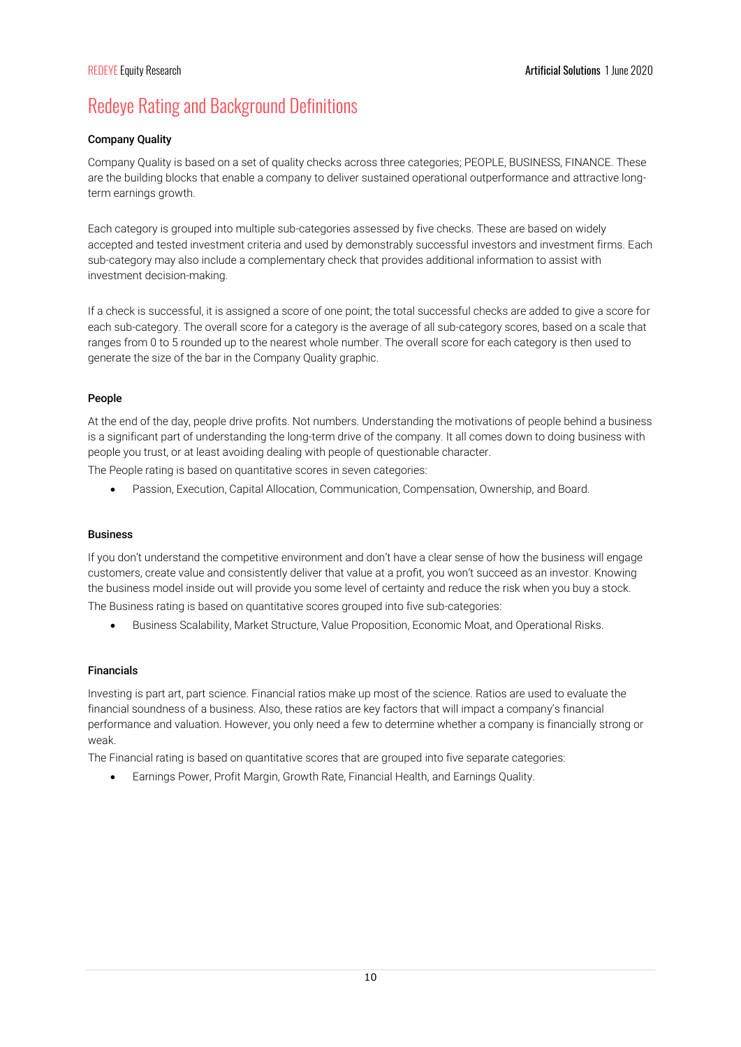# Redeye Rating and Background Definitions

# Company Quality

Company Quality is based on a set of quality checks across three categories; PEOPLE, BUSINESS, FINANCE. These are the building blocks that enable a company to deliver sustained operational outperformance and attractive longterm earnings growth.

Each category is grouped into multiple sub-categories assessed by five checks. These are based on widely accepted and tested investment criteria and used by demonstrably successful investors and investment firms. Each sub-category may also include a complementary check that provides additional information to assist with investment decision-making.

If a check is successful, it is assigned a score of one point; the total successful checks are added to give a score for each sub-category. The overall score for a category is the average of all sub-category scores, based on a scale that ranges from 0 to 5 rounded up to the nearest whole number. The overall score for each category is then used to generate the size of the bar in the Company Quality graphic.

# People

At the end of the day, people drive profits. Not numbers. Understanding the motivations of people behind a business is a significant part of understanding the long-term drive of the company. It all comes down to doing business with people you trust, or at least avoiding dealing with people of questionable character.

The People rating is based on quantitative scores in seven categories:

Passion, Execution, Capital Allocation, Communication, Compensation, Ownership, and Board.

# Business

If you don't understand the competitive environment and don't have a clear sense of how the business will engage customers, create value and consistently deliver that value at a profit, you won't succeed as an investor. Knowing the business model inside out will provide you some level of certainty and reduce the risk when you buy a stock. The Business rating is based on quantitative scores grouped into five sub-categories:

Business Scalability, Market Structure, Value Proposition, Economic Moat, and Operational Risks.

# Financials

Investing is part art, part science. Financial ratios make up most of the science. Ratios are used to evaluate the financial soundness of a business. Also, these ratios are key factors that will impact a company's financial performance and valuation. However, you only need a few to determine whether a company is financially strong or weak.

The Financial rating is based on quantitative scores that are grouped into five separate categories:

Earnings Power, Profit Margin, Growth Rate, Financial Health, and Earnings Quality.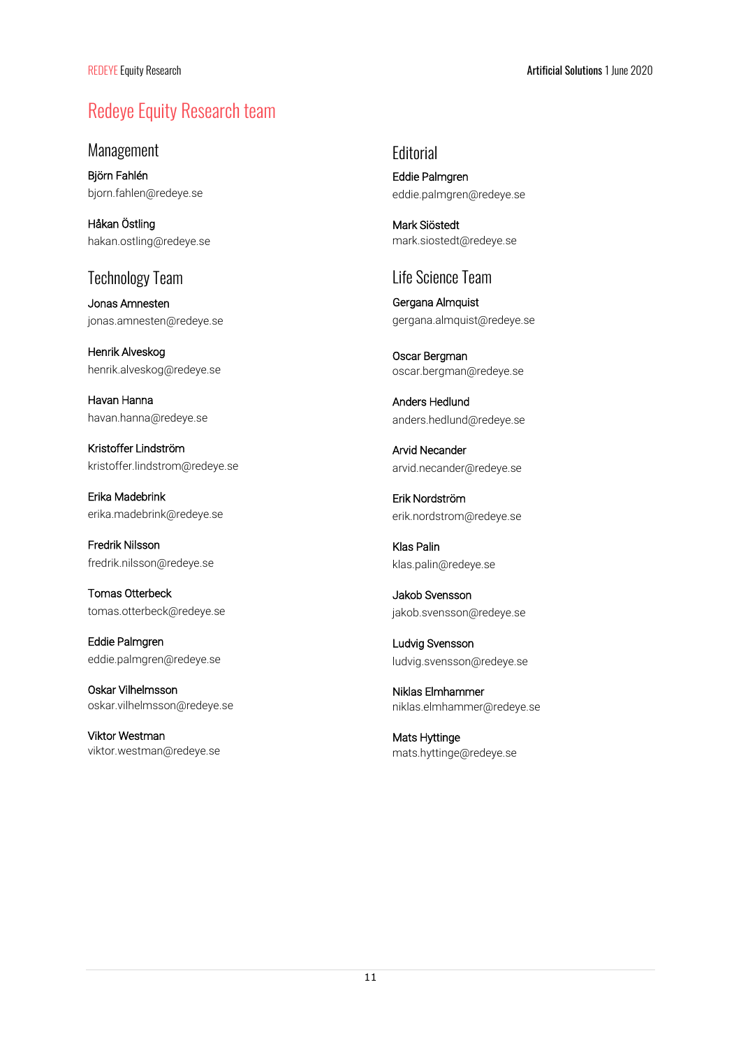# Redeye Equity Research team

Management

Björn Fahlén bjorn.fahlen@redeye.se

Håkan Östling hakan.ostling@redeye.se

# Technology Team

Jonas Amnesten jonas.amnesten@redeye.se

Henrik Alveskog henrik.alveskog@redeye.se

Havan Hanna havan.hanna@redeye.se

Kristoffer Lindström kristoffer.lindstrom@redeye.se

Erika Madebrink erika.madebrink@redeye.se

Fredrik Nilsson fredrik.nilsson@redeye.se

Tomas Otterbeck tomas.otterbeck@redeye.se

Eddie Palmgren eddie.palmgren@redeye.se

Oskar Vilhelmsson oskar.vilhelmsson@redeye.se

Viktor Westman viktor.westman@redeye.se **Editorial** Eddie Palmgren eddie.palmgren@redeye.se

Mark Siöstedt mark.siostedt@redeye.se

# Life Science Team

Gergana Almquist gergana.almquist@redeye.se

Oscar Bergman oscar.bergman@redeye.se

Anders Hedlund anders.hedlund@redeye.se

Arvid Necander arvid.necander@redeye.se

Erik Nordström erik.nordstrom@redeye.se

Klas Palin klas.palin@redeye.se

Jakob Svensson jakob.svensson@redeye.se

Ludvig Svensson ludvig.svensson@redeye.se

Niklas Elmhammer niklas.elmhammer@redeye.se

Mats Hyttinge mats.hyttinge@redeye.se